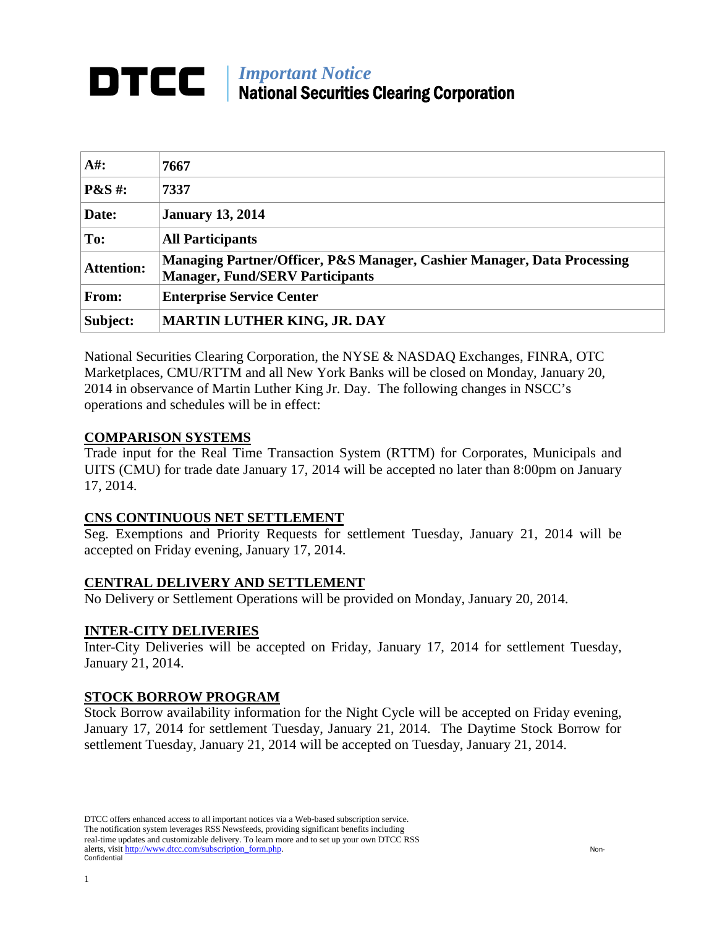# *Important Notice* National Securities Clearing Corporation

| $A#$ :                      | 7667                                                                                                              |
|-----------------------------|-------------------------------------------------------------------------------------------------------------------|
| $\mathbf{P}\&\mathbf{S}$ #: | 7337                                                                                                              |
| Date:                       | <b>January 13, 2014</b>                                                                                           |
| To:                         | <b>All Participants</b>                                                                                           |
| <b>Attention:</b>           | Managing Partner/Officer, P&S Manager, Cashier Manager, Data Processing<br><b>Manager, Fund/SERV Participants</b> |
| <b>From:</b>                | <b>Enterprise Service Center</b>                                                                                  |
| Subject:                    | <b>MARTIN LUTHER KING, JR. DAY</b>                                                                                |

National Securities Clearing Corporation, the NYSE & NASDAQ Exchanges, FINRA, OTC Marketplaces, CMU/RTTM and all New York Banks will be closed on Monday, January 20, 2014 in observance of Martin Luther King Jr. Day. The following changes in NSCC's operations and schedules will be in effect:

# **COMPARISON SYSTEMS**

Trade input for the Real Time Transaction System (RTTM) for Corporates, Municipals and UITS (CMU) for trade date January 17, 2014 will be accepted no later than 8:00pm on January 17, 2014.

# **CNS CONTINUOUS NET SETTLEMENT**

Seg. Exemptions and Priority Requests for settlement Tuesday, January 21, 2014 will be accepted on Friday evening, January 17, 2014.

# **CENTRAL DELIVERY AND SETTLEMENT**

No Delivery or Settlement Operations will be provided on Monday, January 20, 2014.

# **INTER-CITY DELIVERIES**

Inter-City Deliveries will be accepted on Friday, January 17, 2014 for settlement Tuesday, January 21, 2014.

# **STOCK BORROW PROGRAM**

Stock Borrow availability information for the Night Cycle will be accepted on Friday evening, January 17, 2014 for settlement Tuesday, January 21, 2014. The Daytime Stock Borrow for settlement Tuesday, January 21, 2014 will be accepted on Tuesday, January 21, 2014.